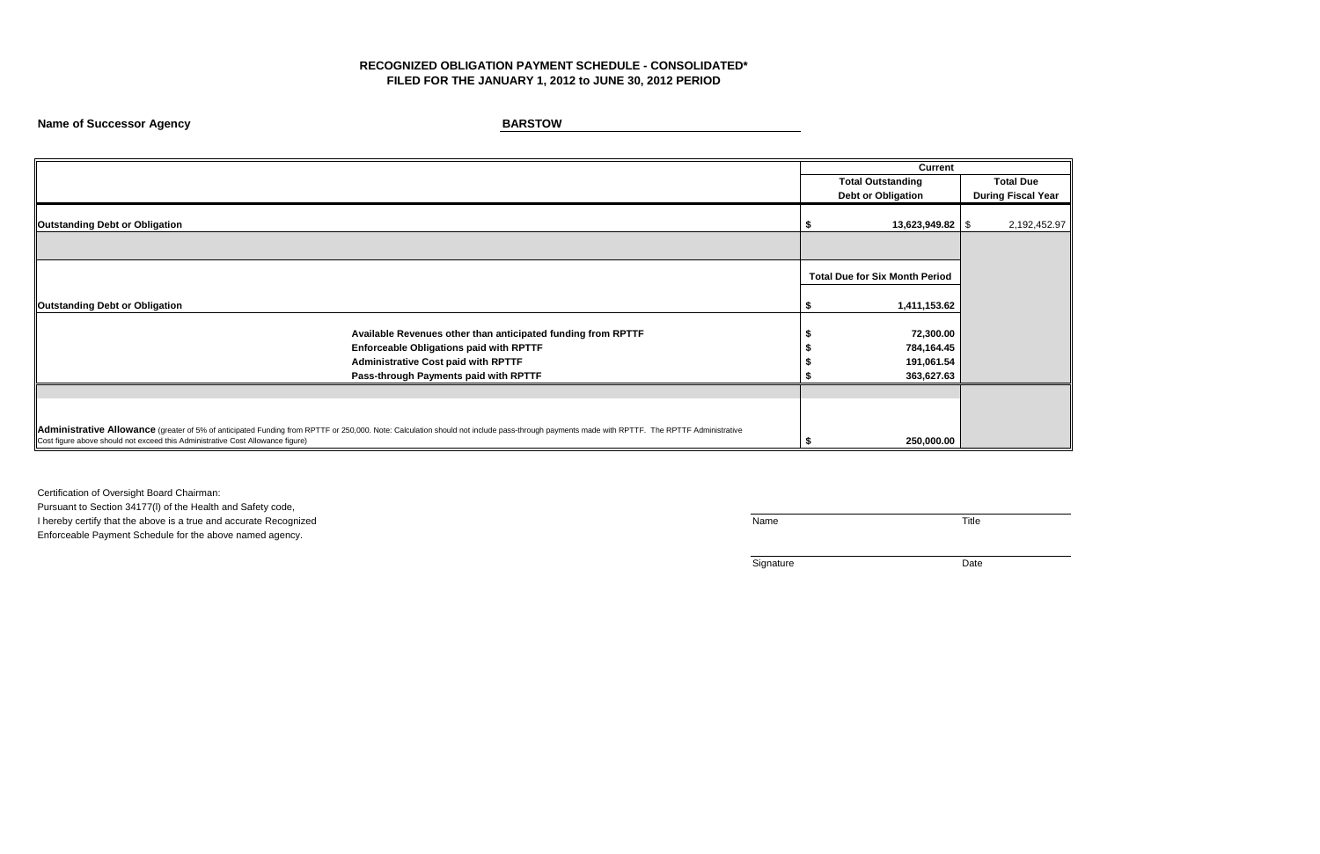# **RECOGNIZED OBLIGATION PAYMENT SCHEDULE - CONSOLIDATED\* FILED FOR THE JANUARY 1, 2012 to JUNE 30, 2012 PERIOD**

**Name of Successor Agency BARSTOW** 

Certification of Oversight Board Chairman:

|                                                                                | <b>Current</b>                                                                                                                                                                             |                                       |  |                           |
|--------------------------------------------------------------------------------|--------------------------------------------------------------------------------------------------------------------------------------------------------------------------------------------|---------------------------------------|--|---------------------------|
|                                                                                |                                                                                                                                                                                            | <b>Total Outstanding</b>              |  | <b>Total Due</b>          |
|                                                                                |                                                                                                                                                                                            | <b>Debt or Obligation</b>             |  | <b>During Fiscal Year</b> |
| <b>Outstanding Debt or Obligation</b>                                          |                                                                                                                                                                                            | $13,623,949.82$ \\$                   |  | 2,192,452.97              |
|                                                                                |                                                                                                                                                                                            |                                       |  |                           |
|                                                                                |                                                                                                                                                                                            | <b>Total Due for Six Month Period</b> |  |                           |
| <b>Outstanding Debt or Obligation</b>                                          |                                                                                                                                                                                            | 1,411,153.62                          |  |                           |
|                                                                                | Available Revenues other than anticipated funding from RPTTF                                                                                                                               | 72,300.00                             |  |                           |
|                                                                                | <b>Enforceable Obligations paid with RPTTF</b>                                                                                                                                             | 784,164.45                            |  |                           |
|                                                                                | <b>Administrative Cost paid with RPTTF</b>                                                                                                                                                 | 191,061.54                            |  |                           |
|                                                                                | Pass-through Payments paid with RPTTF                                                                                                                                                      | 363,627.63                            |  |                           |
|                                                                                |                                                                                                                                                                                            |                                       |  |                           |
|                                                                                |                                                                                                                                                                                            |                                       |  |                           |
|                                                                                |                                                                                                                                                                                            |                                       |  |                           |
| Cost figure above should not exceed this Administrative Cost Allowance figure) | Administrative Allowance (greater of 5% of anticipated Funding from RPTTF or 250,000. Note: Calculation should not include pass-through payments made with RPTTF. The RPTTF Administrative | 250,000.00                            |  |                           |

Pursuant to Section 34177(l) of the Health and Safety code, I hereby certify that the above is a true and accurate Recognized Title Enforceable Payment Schedule for the above named agency.

Signature Date

| <b>Total Due</b>          |
|---------------------------|
| <b>During Fiscal Year</b> |
| \$<br>2,192,452.97        |
|                           |
|                           |
|                           |
|                           |
|                           |
|                           |
|                           |
|                           |
|                           |
|                           |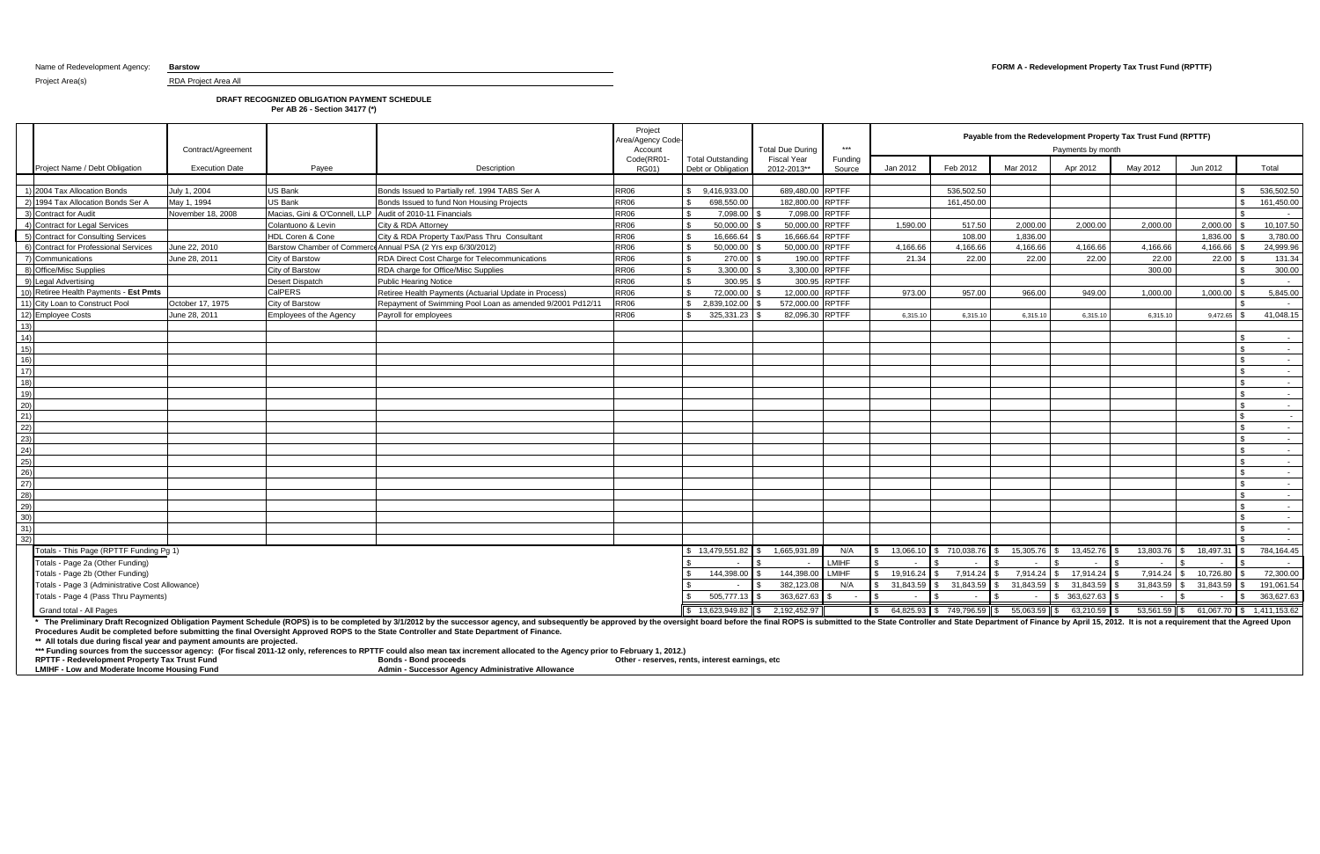Project Area(s) RDA Project Area All

## Name of Redevelopment Agency: **Barstow FORM A - Redevelopment Property Tax Trust Fund (RPTTF)**

## **DRAFT RECOGNIZED OBLIGATION PAYMENT SCHEDULE**

**Per AB 26 - Section 34177 (\*)**

The Preliminary Draft Recognized Obligation Payment Schedule (ROPS) is to be completed by 3/1/2012 by the successor agency, and subsequently be approved by the oversight board before the final ROPS is submitted to the Stat **Procedures Audit be completed before submitting the final Oversight Approved ROPS to the State Controller and State Department of Finance.**

|                                                                      | Contract/Agreement    |                                                           |                                                              | Project<br><b>Area/Agency Code</b><br>Account |                                                | <b>Total Due During</b>           | $***$                        |              | Payable from the Redevelopment Property Tax Trust Fund (RPTTF)<br>Payments by month |           |                                                        |                                      |           |                                        |
|----------------------------------------------------------------------|-----------------------|-----------------------------------------------------------|--------------------------------------------------------------|-----------------------------------------------|------------------------------------------------|-----------------------------------|------------------------------|--------------|-------------------------------------------------------------------------------------|-----------|--------------------------------------------------------|--------------------------------------|-----------|----------------------------------------|
| Project Name / Debt Obligation                                       | <b>Execution Date</b> | Payee                                                     | Description                                                  | Code(RR01-<br><b>RG01)</b>                    | <b>Total Outstanding</b><br>Debt or Obligation | <b>Fiscal Year</b><br>2012-2013** | Funding<br>Source            | Jan 2012     | Feb 2012                                                                            | Mar 2012  | Apr 2012                                               | May 2012                             | Jun 2012  | Total                                  |
| 1) 2004 Tax Allocation Bonds                                         | July 1, 2004          | US Bank                                                   | Bonds Issued to Partially ref. 1994 TABS Ser A               | <b>RR06</b>                                   | \$ 9.416.933.00                                | 689.480.00 RPTFF                  |                              |              | 536.502.50                                                                          |           |                                                        |                                      |           | 536,502.50                             |
| 2) 1994 Tax Allocation Bonds Ser A                                   | May 1, 1994           | US Bank                                                   | Bonds Issued to fund Non Housing Projects                    | <b>RR06</b>                                   | 698.550.00                                     | 182.800.00 RPTFF                  |                              |              | 161,450.00                                                                          |           |                                                        |                                      |           | 161,450.00                             |
| 3) Contract for Audit                                                | November 18, 2008     | Macias, Gini & O'Connell, LLP Audit of 2010-11 Financials |                                                              | <b>RR06</b>                                   | 7,098.00<br>$\mathbf{C}$                       | 7,098.00 RPTFF                    |                              |              |                                                                                     |           |                                                        |                                      |           |                                        |
| 4) Contract for Legal Services                                       |                       | Colantuono & Levin                                        | City & RDA Attorney                                          | <b>RR06</b>                                   | 50.000.00                                      | 50,000.00 RPTFF                   |                              | 1.590.00     | 517.50                                                                              | 2.000.00  | 2.000.00                                               | 2.000.00                             | 2.000.00  | 10,107.50                              |
| 5) Contract for Consulting Services                                  |                       | HDL Coren & Cone                                          | City & RDA Property Tax/Pass Thru Consultant                 | <b>RR06</b>                                   | 16,666.64                                      | 16,666.64 RPTFF                   |                              |              | 108.00                                                                              | 1,836.00  |                                                        |                                      | 1,836.00  | 3,780.00                               |
| 6) Contract for Professional Services                                | June 22, 2010         |                                                           | Barstow Chamber of Commerce Annual PSA (2 Yrs exp 6/30/2012) | <b>RR06</b>                                   | 50,000.00<br>$\mathcal{F}$                     | 50,000.00 RPTFF                   |                              | 4,166.66     | 4,166.66                                                                            | 4,166.66  | 4,166.66                                               | 4,166.66                             | 4,166.66  | 24,999.96                              |
| 7) Communications                                                    | June 28, 2011         | City of Barstow                                           | <b>RR06</b><br>RDA Direct Cost Charge for Telecommunications |                                               | 270.00<br>$\hat{\mathcal{L}}$                  |                                   | 190.00 RPTFF                 | 21.34        | 22.00                                                                               | 22.00     | 22.00                                                  | 22.00                                | 22.00     | 131.34                                 |
| 8) Office/Misc Supplies                                              |                       | City of Barstow                                           | <b>RR06</b><br>RDA charge for Office/Misc Supplies           |                                               | 3.300.00<br>$\mathbf{R}$                       | 3,300.00 RPTFF                    |                              |              |                                                                                     |           |                                                        | 300.00                               |           | 300.00                                 |
| 9) Legal Advertising                                                 |                       | Desert Dispatch<br><b>Public Hearing Notice</b>           |                                                              | <b>RR06</b>                                   | $\mathcal{F}$<br>300.95                        |                                   | 300.95 RPTFF                 |              |                                                                                     |           |                                                        |                                      |           | $\sim$ $-$                             |
| 10) Retiree Health Payments - Est Pmts                               |                       | <b>CalPERS</b>                                            | Retiree Health Payments (Actuarial Update in Process)        | <b>RR06</b>                                   | 72.000.00<br>$\hat{\mathcal{L}}$               | 12,000.00 RPTFF                   |                              | 973.00       | 957.00                                                                              | 966.00    | 949.00                                                 | 1,000.00                             | 1,000.00  | 5,845.00                               |
| 11) City Loan to Construct Pool                                      | October 17, 1975      | City of Barstow                                           | Repayment of Swimming Pool Loan as amended 9/2001 Pd12/11    | <b>RR06</b>                                   | \$2,839,102.00                                 | 572,000.00 RPTFF                  |                              |              |                                                                                     |           |                                                        |                                      |           | $\sim$                                 |
| 12) Employee Costs                                                   | June 28, 2011         | <b>Employees of the Agency</b>                            | Payroll for employees                                        | <b>RR06</b>                                   | 325,331.23                                     | 82,096.30 RPTFF                   |                              | 6,315.10     | 6,315.10                                                                            | 6,315.10  | 6,315.10                                               | 6,315.10                             | 9,472.65  | 41,048.15                              |
| 13)                                                                  |                       |                                                           |                                                              |                                               |                                                |                                   |                              |              |                                                                                     |           |                                                        |                                      |           |                                        |
| 14)                                                                  |                       |                                                           |                                                              |                                               |                                                |                                   |                              |              |                                                                                     |           |                                                        |                                      |           | $\sim$                                 |
| 15)                                                                  |                       |                                                           |                                                              |                                               |                                                |                                   |                              |              |                                                                                     |           |                                                        |                                      |           | $\sim$ $-$                             |
| 16)                                                                  |                       |                                                           |                                                              |                                               |                                                |                                   |                              |              |                                                                                     |           |                                                        |                                      |           | $\sim$                                 |
| 17)                                                                  |                       |                                                           |                                                              |                                               |                                                |                                   |                              |              |                                                                                     |           |                                                        |                                      |           | $\sim$                                 |
| 18)                                                                  |                       |                                                           |                                                              |                                               |                                                |                                   |                              |              |                                                                                     |           |                                                        |                                      |           | $\sim$ $-$                             |
| 19)                                                                  |                       |                                                           |                                                              |                                               |                                                |                                   |                              |              |                                                                                     |           |                                                        |                                      |           | $\sim$                                 |
| 20)                                                                  |                       |                                                           |                                                              |                                               |                                                |                                   |                              |              |                                                                                     |           |                                                        |                                      |           | $\sim$                                 |
| 21)                                                                  |                       |                                                           |                                                              |                                               |                                                |                                   |                              |              |                                                                                     |           |                                                        |                                      |           | $\sim$                                 |
| 22)                                                                  |                       |                                                           |                                                              |                                               |                                                |                                   |                              |              |                                                                                     |           |                                                        |                                      |           | $\sim$ $-$                             |
| (23)                                                                 |                       |                                                           |                                                              |                                               |                                                |                                   |                              |              |                                                                                     |           |                                                        |                                      |           | $\sim$ $ \sim$                         |
| (24)                                                                 |                       |                                                           |                                                              |                                               |                                                |                                   |                              |              |                                                                                     |           |                                                        |                                      |           | $\sim$ $-$                             |
| (25)                                                                 |                       |                                                           |                                                              |                                               |                                                |                                   |                              |              |                                                                                     |           |                                                        |                                      |           | $\sim$                                 |
| $\overline{26}$                                                      |                       |                                                           |                                                              |                                               |                                                |                                   |                              |              |                                                                                     |           |                                                        |                                      |           | $\sim$ $-$                             |
| (27)                                                                 |                       |                                                           |                                                              |                                               |                                                |                                   |                              |              |                                                                                     |           |                                                        |                                      |           | $\sim$                                 |
| (28)                                                                 |                       |                                                           |                                                              |                                               |                                                |                                   |                              |              |                                                                                     |           |                                                        |                                      |           | $\sim$ $-$                             |
| (29)                                                                 |                       |                                                           |                                                              |                                               |                                                |                                   |                              |              |                                                                                     |           |                                                        |                                      |           | $\sim$ $-$                             |
| 30)                                                                  |                       |                                                           |                                                              |                                               |                                                |                                   |                              |              |                                                                                     |           |                                                        |                                      |           | $\sim$                                 |
| 31)                                                                  |                       |                                                           |                                                              |                                               |                                                |                                   |                              |              |                                                                                     |           |                                                        |                                      |           | $\sim$                                 |
| 32)                                                                  |                       |                                                           |                                                              |                                               |                                                |                                   |                              |              |                                                                                     |           |                                                        |                                      |           | $\sim$                                 |
| Totals - This Page (RPTTF Funding Pg 1)                              |                       |                                                           |                                                              |                                               | \$13,479,551.82                                | 1,665,931.89                      | N/A                          | 13.066.10    | \$710.038.76                                                                        | 15,305.76 | 13,452.76                                              | 13,803.76                            | 18,497.3  | 784,164.45                             |
| Totals - Page 2a (Other Funding)<br>Totals - Page 2b (Other Funding) |                       |                                                           |                                                              |                                               |                                                | 144,398.00                        | <b>LMIHF</b><br><b>LMIHF</b> | 19.916.24    |                                                                                     | 7,914.24  | 17,914.24                                              | $\overline{\phantom{a}}$<br>7,914.24 | 10,726.80 | $\sim$                                 |
| Totals - Page 3 (Administrative Cost Allowance)                      |                       |                                                           |                                                              |                                               | 144.398.00                                     | 382,123.08                        | N/A                          | 31,843.59    | 7.914.24<br>31,843.59                                                               | 31,843.59 | <b>S</b><br>31,843.59                                  | 31,843.59                            | 31,843.59 | 72,300.00<br>191,061.54                |
| Totals - Page 4 (Pass Thru Payments)                                 |                       |                                                           |                                                              |                                               | 505,777.13                                     | 363,627.63                        |                              |              |                                                                                     |           | \$ 363,627.63                                          |                                      |           | 363,627.63                             |
| Grand total - All Pages                                              |                       |                                                           |                                                              |                                               | $$13,623,949.82$ \Sigma_1                      | 2,192,452.97                      |                              | $\mathbb{S}$ |                                                                                     |           | $64,825.93$ \$ 749,796.59 \$ 55,063.59 \$ 63,210.59 \$ |                                      |           | 53,561.59 \$ 61,067.70 \$ 1,411,153.62 |
|                                                                      |                       |                                                           |                                                              |                                               |                                                |                                   |                              |              |                                                                                     |           |                                                        |                                      |           |                                        |

**\*\* All totals due during fiscal year and payment amounts are projected.** 

**\*\*\* Funding sources from the successor agency: (For fiscal 2011-12 only, references to RPTTF could also mean tax increment allocated to the Agency prior to February 1, 2012.)**

**RPTTF - Redevelopment Property Tax Trust Fund Bonds - Bond proceeds Other - reserves, rents, interest earnings, etc LMIHF - Low and Moderate Income Housing Fund Admin - Successor Agency Administrative Allowance**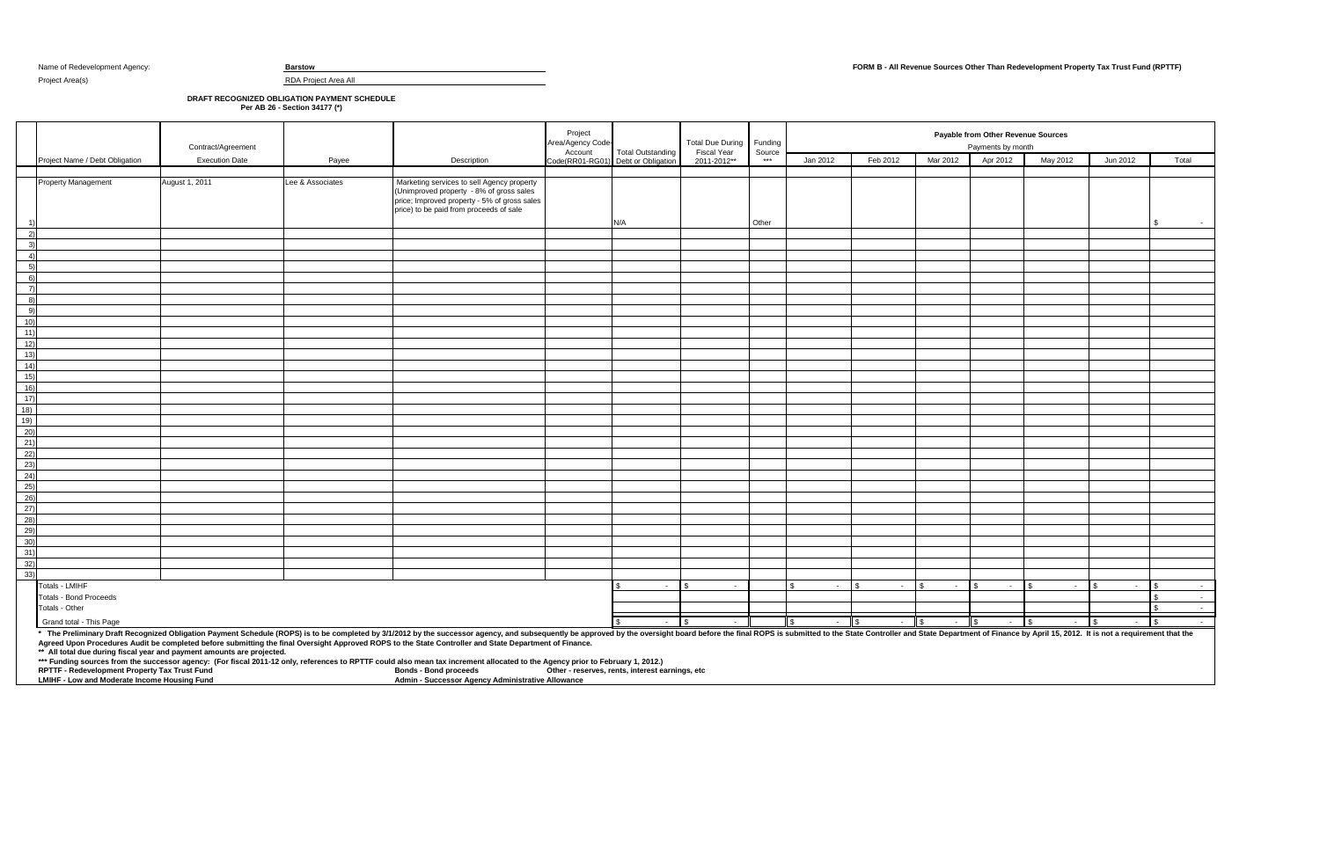Project Area(s) RDA Project Area All

## Name of Redevelopment Agency: **Barstow FORM B - All Revenue Sources Other Than Redevelopment Property Tax Trust Fund (RPTTF)**

## **DRAFT RECOGNIZED OBLIGATION PAYMENT SCHEDULE**

**Per AB 26 - Section 34177 (\*)**

\* The Preliminary Draft Recognized Obligation Payment Schedule (ROPS) is to be completed by 3/1/2012 by the successor agency, and subsequently be approved by the oversight board before the final ROPS is submitted to the St **Agreed Upon Procedures Audit be completed before submitting the final Oversight Approved ROPS to the State Controller and State Department of Finance.**

**\*\* All total due during fiscal year and payment amounts are projected.** 

**\*\*\* Funding sources from the successor agency: (For fiscal 2011-12 only, references to RPTTF could also mean tax increment allocated to the Agency prior to February 1, 2012.)**

|                                                             |                                | Contract/Agreement    |                  |                                                                                                                                                                                   | Project<br>Area/Agency Code- |                                                                 | <b>Total Due During</b><br>Fiscal Year | Funding<br>Source |              | Payable from Other Revenue Sources<br>Payments by month |               |          |              |          |        |  |  |  |
|-------------------------------------------------------------|--------------------------------|-----------------------|------------------|-----------------------------------------------------------------------------------------------------------------------------------------------------------------------------------|------------------------------|-----------------------------------------------------------------|----------------------------------------|-------------------|--------------|---------------------------------------------------------|---------------|----------|--------------|----------|--------|--|--|--|
|                                                             | Project Name / Debt Obligation | <b>Execution Date</b> | Payee            | Description                                                                                                                                                                       |                              | Account Total Outstanding<br>Code(RR01-RG01) Debt or Obligation | 2011-2012**                            | $* * *$           | Jan 2012     | Feb 2012                                                | Mar 2012      | Apr 2012 | May 2012     | Jun 2012 | Total  |  |  |  |
|                                                             |                                |                       |                  |                                                                                                                                                                                   |                              |                                                                 |                                        |                   |              |                                                         |               |          |              |          |        |  |  |  |
|                                                             | <b>Property Management</b>     | August 1, 2011        | Lee & Associates | Marketing services to sell Agency property<br>(Unimproved property - 8% of gross sales<br>price; Improved property - 5% of gross sales<br>price) to be paid from proceeds of sale |                              | N/A                                                             |                                        | Other             |              |                                                         |               |          |              |          | \$     |  |  |  |
| 2)                                                          |                                |                       |                  |                                                                                                                                                                                   |                              |                                                                 |                                        |                   |              |                                                         |               |          |              |          |        |  |  |  |
| 3)                                                          |                                |                       |                  |                                                                                                                                                                                   |                              |                                                                 |                                        |                   |              |                                                         |               |          |              |          |        |  |  |  |
| 4)                                                          |                                |                       |                  |                                                                                                                                                                                   |                              |                                                                 |                                        |                   |              |                                                         |               |          |              |          |        |  |  |  |
| 5)                                                          |                                |                       |                  |                                                                                                                                                                                   |                              |                                                                 |                                        |                   |              |                                                         |               |          |              |          |        |  |  |  |
| 6)                                                          |                                |                       |                  |                                                                                                                                                                                   |                              |                                                                 |                                        |                   |              |                                                         |               |          |              |          |        |  |  |  |
| $\left( 7\right)$                                           |                                |                       |                  |                                                                                                                                                                                   |                              |                                                                 |                                        |                   |              |                                                         |               |          |              |          |        |  |  |  |
| 8)                                                          |                                |                       |                  |                                                                                                                                                                                   |                              |                                                                 |                                        |                   |              |                                                         |               |          |              |          |        |  |  |  |
| 9)                                                          |                                |                       |                  |                                                                                                                                                                                   |                              |                                                                 |                                        |                   |              |                                                         |               |          |              |          |        |  |  |  |
| 10)                                                         |                                |                       |                  |                                                                                                                                                                                   |                              |                                                                 |                                        |                   |              |                                                         |               |          |              |          |        |  |  |  |
| 11)                                                         |                                |                       |                  |                                                                                                                                                                                   |                              |                                                                 |                                        |                   |              |                                                         |               |          |              |          |        |  |  |  |
| 12)                                                         |                                |                       |                  |                                                                                                                                                                                   |                              |                                                                 |                                        |                   |              |                                                         |               |          |              |          |        |  |  |  |
| 13)                                                         |                                |                       |                  |                                                                                                                                                                                   |                              |                                                                 |                                        |                   |              |                                                         |               |          |              |          |        |  |  |  |
| 14)                                                         |                                |                       |                  |                                                                                                                                                                                   |                              |                                                                 |                                        |                   |              |                                                         |               |          |              |          |        |  |  |  |
| 15)<br>16)                                                  |                                |                       |                  |                                                                                                                                                                                   |                              |                                                                 |                                        |                   |              |                                                         |               |          |              |          |        |  |  |  |
|                                                             |                                |                       |                  |                                                                                                                                                                                   |                              |                                                                 |                                        |                   |              |                                                         |               |          |              |          |        |  |  |  |
| $\frac{17}{18}$                                             |                                |                       |                  |                                                                                                                                                                                   |                              |                                                                 |                                        |                   |              |                                                         |               |          |              |          |        |  |  |  |
| 19)                                                         |                                |                       |                  |                                                                                                                                                                                   |                              |                                                                 |                                        |                   |              |                                                         |               |          |              |          |        |  |  |  |
| (20)                                                        |                                |                       |                  |                                                                                                                                                                                   |                              |                                                                 |                                        |                   |              |                                                         |               |          |              |          |        |  |  |  |
|                                                             |                                |                       |                  |                                                                                                                                                                                   |                              |                                                                 |                                        |                   |              |                                                         |               |          |              |          |        |  |  |  |
|                                                             |                                |                       |                  |                                                                                                                                                                                   |                              |                                                                 |                                        |                   |              |                                                         |               |          |              |          |        |  |  |  |
| $\begin{array}{r} (21) \\ 22) \\ 23) \\ 24) \end{array}$    |                                |                       |                  |                                                                                                                                                                                   |                              |                                                                 |                                        |                   |              |                                                         |               |          |              |          |        |  |  |  |
|                                                             |                                |                       |                  |                                                                                                                                                                                   |                              |                                                                 |                                        |                   |              |                                                         |               |          |              |          |        |  |  |  |
| 25)                                                         |                                |                       |                  |                                                                                                                                                                                   |                              |                                                                 |                                        |                   |              |                                                         |               |          |              |          |        |  |  |  |
| $\begin{array}{r} 26) \\ 27) \\ 28) \end{array}$            |                                |                       |                  |                                                                                                                                                                                   |                              |                                                                 |                                        |                   |              |                                                         |               |          |              |          |        |  |  |  |
|                                                             |                                |                       |                  |                                                                                                                                                                                   |                              |                                                                 |                                        |                   |              |                                                         |               |          |              |          |        |  |  |  |
| $^{29}$                                                     |                                |                       |                  |                                                                                                                                                                                   |                              |                                                                 |                                        |                   |              |                                                         |               |          |              |          |        |  |  |  |
|                                                             |                                |                       |                  |                                                                                                                                                                                   |                              |                                                                 |                                        |                   |              |                                                         |               |          |              |          |        |  |  |  |
|                                                             |                                |                       |                  |                                                                                                                                                                                   |                              |                                                                 |                                        |                   |              |                                                         |               |          |              |          |        |  |  |  |
|                                                             |                                |                       |                  |                                                                                                                                                                                   |                              |                                                                 |                                        |                   |              |                                                         |               |          |              |          |        |  |  |  |
| $\begin{array}{r} (30) \\ (31) \\ (32) \\ (33) \end{array}$ |                                |                       |                  |                                                                                                                                                                                   |                              |                                                                 |                                        |                   |              |                                                         |               |          |              |          |        |  |  |  |
|                                                             | Totals - LMIHF                 |                       |                  |                                                                                                                                                                                   |                              | $\sim$                                                          | -\$<br>$\sim$                          |                   | \$<br>$\sim$ | $\sim$ $-$                                              | . ድ<br>$\sim$ | $\sim$   | $\mathbf{s}$ | $\sim$   |        |  |  |  |
|                                                             | <b>Totals - Bond Proceeds</b>  |                       |                  |                                                                                                                                                                                   |                              |                                                                 |                                        |                   |              |                                                         |               |          |              |          |        |  |  |  |
|                                                             | Totals - Other                 |                       |                  |                                                                                                                                                                                   |                              |                                                                 |                                        |                   |              |                                                         |               |          |              |          |        |  |  |  |
|                                                             | Grand total - This Page        |                       |                  |                                                                                                                                                                                   |                              | $\sim 10^{-1}$                                                  | ll \$<br>$\sim 10^{-1}$                |                   | $\sqrt{2}$   | $-$ \$<br>$-$ \$                                        | $-$ \$        | $-$ \$   | $-$ \$       |          | $-$ \$ |  |  |  |

**RPTTF - Redevelopment Property Tax Trust Fund Bonds - Bond proceeds Other - reserves, rents, interest earnings, etc**

**LMIHF - Low and Moderate Income Housing Fund Admin - Successor Agency Administrative Allowance**

|          | Payable from Other Revenue Sources<br>Payments by month                                 |                    |            |                                 |
|----------|-----------------------------------------------------------------------------------------|--------------------|------------|---------------------------------|
| ar 2012  | Apr 2012                                                                                | May 2012           | Jun 2012   | Total                           |
|          |                                                                                         |                    |            |                                 |
|          |                                                                                         |                    |            |                                 |
|          |                                                                                         |                    |            |                                 |
|          |                                                                                         |                    |            |                                 |
|          |                                                                                         |                    |            | \$                              |
|          |                                                                                         |                    |            |                                 |
|          |                                                                                         |                    |            |                                 |
|          |                                                                                         |                    |            |                                 |
|          |                                                                                         |                    |            |                                 |
|          |                                                                                         |                    |            |                                 |
|          |                                                                                         |                    |            |                                 |
|          |                                                                                         |                    |            |                                 |
|          |                                                                                         |                    |            |                                 |
|          |                                                                                         |                    |            |                                 |
|          |                                                                                         |                    |            |                                 |
|          |                                                                                         |                    |            |                                 |
|          |                                                                                         |                    |            |                                 |
|          |                                                                                         |                    |            |                                 |
|          |                                                                                         |                    |            |                                 |
|          |                                                                                         |                    |            |                                 |
|          |                                                                                         |                    |            |                                 |
|          |                                                                                         |                    |            |                                 |
|          |                                                                                         |                    |            |                                 |
|          |                                                                                         |                    |            |                                 |
|          |                                                                                         |                    |            |                                 |
|          |                                                                                         |                    |            |                                 |
|          |                                                                                         |                    |            |                                 |
|          |                                                                                         |                    |            |                                 |
|          |                                                                                         |                    |            |                                 |
|          |                                                                                         |                    |            |                                 |
|          |                                                                                         |                    |            |                                 |
|          |                                                                                         |                    |            |                                 |
|          |                                                                                         |                    |            |                                 |
| $\omega$ | \$<br>$\Box$                                                                            | \$<br>ä,           | \$<br>ä,   | $\frac{1}{2}$<br>$\blacksquare$ |
|          |                                                                                         |                    |            | \$<br>L.                        |
|          |                                                                                         |                    |            | \$<br>$\overline{a}$            |
|          | $\sqrt{2}$<br>Department of Finance by April 15, 2012. It is not a requirement that the | $\mathbf{\hat{s}}$ | $\sqrt{3}$ | \$                              |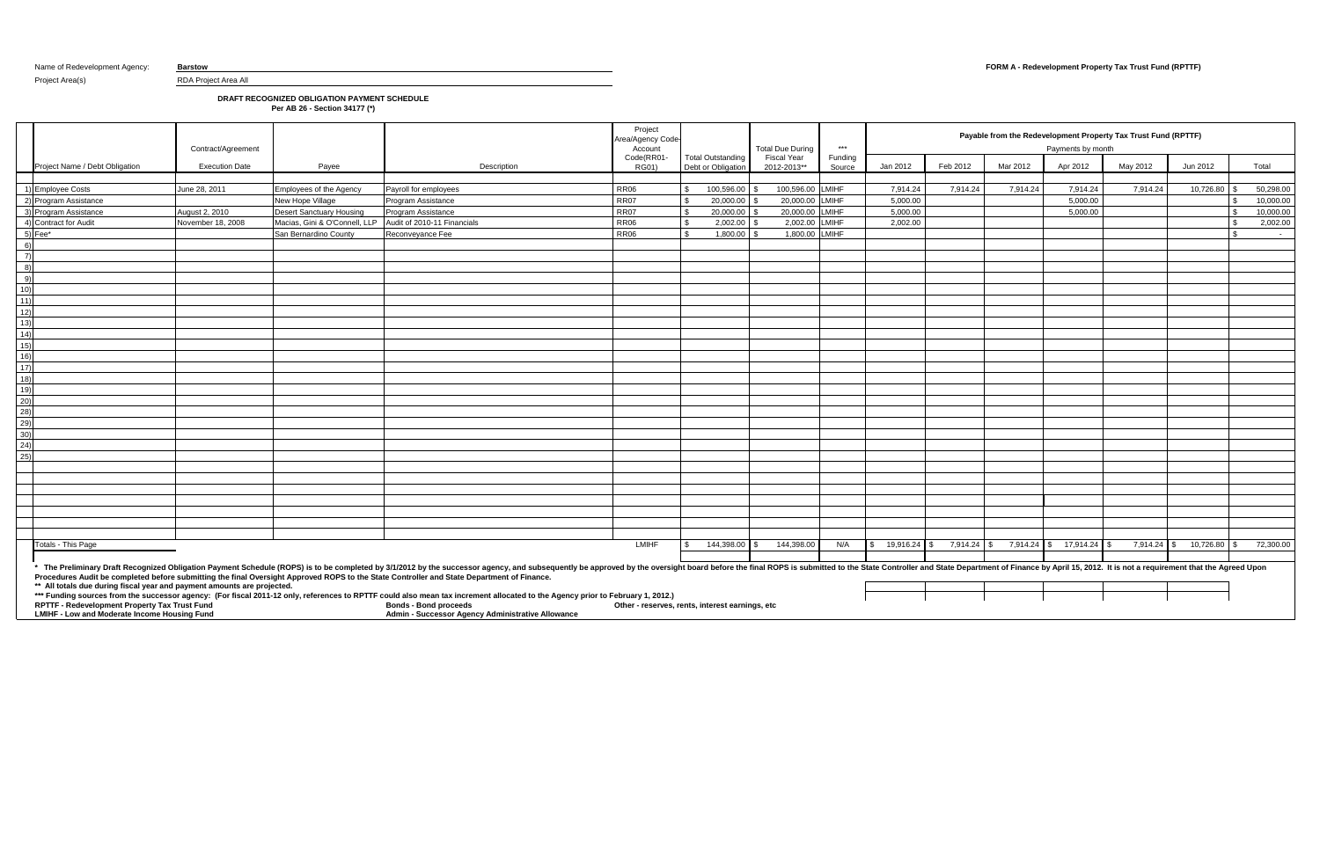Project Area(s) RDA Project Area All

## **DRAFT RECOGNIZED OBLIGATION PAYMENT SCHEDULE**

**Per AB 26 - Section 34177 (\*)**

|                  |                                                                                                                                                                          | Contract/Agreement    |                                             |                                                                                                                                                                                                                                                                                                                                                                                                                                                                                                                                                                                                                                                     | Project<br>Area/Agency Code-<br>Account         |                                                | <b>Total Due During</b>    | $***$             |                   |             | Payable from the Redevelopment Property Tax Trust Fund (RPTTF)<br>Payments by month |                          |               |           |                      |  |
|------------------|--------------------------------------------------------------------------------------------------------------------------------------------------------------------------|-----------------------|---------------------------------------------|-----------------------------------------------------------------------------------------------------------------------------------------------------------------------------------------------------------------------------------------------------------------------------------------------------------------------------------------------------------------------------------------------------------------------------------------------------------------------------------------------------------------------------------------------------------------------------------------------------------------------------------------------------|-------------------------------------------------|------------------------------------------------|----------------------------|-------------------|-------------------|-------------|-------------------------------------------------------------------------------------|--------------------------|---------------|-----------|----------------------|--|
|                  | Project Name / Debt Obligation                                                                                                                                           | <b>Execution Date</b> | Payee                                       | Description                                                                                                                                                                                                                                                                                                                                                                                                                                                                                                                                                                                                                                         | Code(RR01-<br><b>RG01)</b>                      | <b>Total Outstanding</b><br>Debt or Obligation | Fiscal Year<br>2012-2013** | Funding<br>Source | Jan 2012          | Feb 2012    | Mar 2012                                                                            | Apr 2012                 | May 2012      | Jun 2012  | Total                |  |
|                  | 1) Employee Costs                                                                                                                                                        | June 28, 2011         |                                             |                                                                                                                                                                                                                                                                                                                                                                                                                                                                                                                                                                                                                                                     | <b>RR06</b>                                     | 100,596.00                                     | 100,596.00 LMIHF           |                   | 7,914.24          | 7,914.24    | 7,914.24                                                                            | 7,914.24                 | 7,914.24      | 10,726.80 | 50,298.00            |  |
|                  | 2) Program Assistance                                                                                                                                                    |                       | Employees of the Agency<br>New Hope Village | Payroll for employees<br>Program Assistance                                                                                                                                                                                                                                                                                                                                                                                                                                                                                                                                                                                                         | <b>RR07</b>                                     | 20.000.00<br>-\$                               | 20.000.00 LMIHF            |                   | 5.000.00          |             |                                                                                     | 5.000.00                 |               |           | 10.000.00            |  |
|                  | 3) Program Assistance                                                                                                                                                    | August 2, 2010        | <b>Desert Sanctuary Housing</b>             | <b>Program Assistance</b>                                                                                                                                                                                                                                                                                                                                                                                                                                                                                                                                                                                                                           | <b>RR07</b>                                     | $\mathbf{S}$<br>$20,000.00$ \$                 | 20,000.00                  | <b>LMIHF</b>      | 5.000.00          |             |                                                                                     | 5,000.00                 |               |           | 10,000.00            |  |
|                  | 4) Contract for Audit                                                                                                                                                    | November 18, 2008     | Macias, Gini & O'Connell, LLP               | Audit of 2010-11 Financials                                                                                                                                                                                                                                                                                                                                                                                                                                                                                                                                                                                                                         | <b>RR06</b>                                     | $\mathfrak{s}$<br>2,002.00                     | 2,002.00                   | <b>LMIHF</b>      | 2,002.00          |             |                                                                                     |                          |               |           | 2,002.00             |  |
|                  | $5)$ Fee $*$                                                                                                                                                             |                       | San Bernardino County                       | Reconveyance Fee                                                                                                                                                                                                                                                                                                                                                                                                                                                                                                                                                                                                                                    | <b>RR06</b>                                     | 1,800.00<br>ፍ                                  | 1,800.00                   | <b>LMIHF</b>      |                   |             |                                                                                     |                          |               |           | ¢<br>$\sim 10^{-11}$ |  |
|                  | 6)                                                                                                                                                                       |                       |                                             |                                                                                                                                                                                                                                                                                                                                                                                                                                                                                                                                                                                                                                                     |                                                 |                                                |                            |                   |                   |             |                                                                                     |                          |               |           |                      |  |
|                  | $\overline{7}$                                                                                                                                                           |                       |                                             |                                                                                                                                                                                                                                                                                                                                                                                                                                                                                                                                                                                                                                                     |                                                 |                                                |                            |                   |                   |             |                                                                                     |                          |               |           |                      |  |
|                  | 8)                                                                                                                                                                       |                       |                                             |                                                                                                                                                                                                                                                                                                                                                                                                                                                                                                                                                                                                                                                     |                                                 |                                                |                            |                   |                   |             |                                                                                     |                          |               |           |                      |  |
|                  | 9)                                                                                                                                                                       |                       |                                             |                                                                                                                                                                                                                                                                                                                                                                                                                                                                                                                                                                                                                                                     |                                                 |                                                |                            |                   |                   |             |                                                                                     |                          |               |           |                      |  |
| 10)              |                                                                                                                                                                          |                       |                                             |                                                                                                                                                                                                                                                                                                                                                                                                                                                                                                                                                                                                                                                     |                                                 |                                                |                            |                   |                   |             |                                                                                     |                          |               |           |                      |  |
| 11)              |                                                                                                                                                                          |                       |                                             |                                                                                                                                                                                                                                                                                                                                                                                                                                                                                                                                                                                                                                                     |                                                 |                                                |                            |                   |                   |             |                                                                                     |                          |               |           |                      |  |
| $\overline{12)}$ |                                                                                                                                                                          |                       |                                             |                                                                                                                                                                                                                                                                                                                                                                                                                                                                                                                                                                                                                                                     |                                                 |                                                |                            |                   |                   |             |                                                                                     |                          |               |           |                      |  |
| 13)              |                                                                                                                                                                          |                       |                                             |                                                                                                                                                                                                                                                                                                                                                                                                                                                                                                                                                                                                                                                     |                                                 |                                                |                            |                   |                   |             |                                                                                     |                          |               |           |                      |  |
| 14)              |                                                                                                                                                                          |                       |                                             |                                                                                                                                                                                                                                                                                                                                                                                                                                                                                                                                                                                                                                                     |                                                 |                                                |                            |                   |                   |             |                                                                                     |                          |               |           |                      |  |
| $\overline{15)}$ |                                                                                                                                                                          |                       |                                             |                                                                                                                                                                                                                                                                                                                                                                                                                                                                                                                                                                                                                                                     |                                                 |                                                |                            |                   |                   |             |                                                                                     |                          |               |           |                      |  |
| $\overline{16)}$ |                                                                                                                                                                          |                       |                                             |                                                                                                                                                                                                                                                                                                                                                                                                                                                                                                                                                                                                                                                     |                                                 |                                                |                            |                   |                   |             |                                                                                     |                          |               |           |                      |  |
| 17)              |                                                                                                                                                                          |                       |                                             |                                                                                                                                                                                                                                                                                                                                                                                                                                                                                                                                                                                                                                                     |                                                 |                                                |                            |                   |                   |             |                                                                                     |                          |               |           |                      |  |
| $\overline{18)}$ |                                                                                                                                                                          |                       |                                             |                                                                                                                                                                                                                                                                                                                                                                                                                                                                                                                                                                                                                                                     |                                                 |                                                |                            |                   |                   |             |                                                                                     |                          |               |           |                      |  |
| 19)              |                                                                                                                                                                          |                       |                                             |                                                                                                                                                                                                                                                                                                                                                                                                                                                                                                                                                                                                                                                     |                                                 |                                                |                            |                   |                   |             |                                                                                     |                          |               |           |                      |  |
| $\frac{20}{28}$  |                                                                                                                                                                          |                       |                                             |                                                                                                                                                                                                                                                                                                                                                                                                                                                                                                                                                                                                                                                     |                                                 |                                                |                            |                   |                   |             |                                                                                     |                          |               |           |                      |  |
|                  |                                                                                                                                                                          |                       |                                             |                                                                                                                                                                                                                                                                                                                                                                                                                                                                                                                                                                                                                                                     |                                                 |                                                |                            |                   |                   |             |                                                                                     |                          |               |           |                      |  |
| 29)              |                                                                                                                                                                          |                       |                                             |                                                                                                                                                                                                                                                                                                                                                                                                                                                                                                                                                                                                                                                     |                                                 |                                                |                            |                   |                   |             |                                                                                     |                          |               |           |                      |  |
| 30)              |                                                                                                                                                                          |                       |                                             |                                                                                                                                                                                                                                                                                                                                                                                                                                                                                                                                                                                                                                                     |                                                 |                                                |                            |                   |                   |             |                                                                                     |                          |               |           |                      |  |
| (24)             |                                                                                                                                                                          |                       |                                             |                                                                                                                                                                                                                                                                                                                                                                                                                                                                                                                                                                                                                                                     |                                                 |                                                |                            |                   |                   |             |                                                                                     |                          |               |           |                      |  |
| $\overline{25)}$ |                                                                                                                                                                          |                       |                                             |                                                                                                                                                                                                                                                                                                                                                                                                                                                                                                                                                                                                                                                     |                                                 |                                                |                            |                   |                   |             |                                                                                     |                          |               |           |                      |  |
|                  |                                                                                                                                                                          |                       |                                             |                                                                                                                                                                                                                                                                                                                                                                                                                                                                                                                                                                                                                                                     |                                                 |                                                |                            |                   |                   |             |                                                                                     |                          |               |           |                      |  |
|                  |                                                                                                                                                                          |                       |                                             |                                                                                                                                                                                                                                                                                                                                                                                                                                                                                                                                                                                                                                                     |                                                 |                                                |                            |                   |                   |             |                                                                                     |                          |               |           |                      |  |
|                  |                                                                                                                                                                          |                       |                                             |                                                                                                                                                                                                                                                                                                                                                                                                                                                                                                                                                                                                                                                     |                                                 |                                                |                            |                   |                   |             |                                                                                     |                          |               |           |                      |  |
|                  |                                                                                                                                                                          |                       |                                             |                                                                                                                                                                                                                                                                                                                                                                                                                                                                                                                                                                                                                                                     |                                                 |                                                |                            |                   |                   |             |                                                                                     |                          |               |           |                      |  |
|                  |                                                                                                                                                                          |                       |                                             |                                                                                                                                                                                                                                                                                                                                                                                                                                                                                                                                                                                                                                                     |                                                 |                                                |                            |                   |                   |             |                                                                                     |                          |               |           |                      |  |
|                  |                                                                                                                                                                          |                       |                                             |                                                                                                                                                                                                                                                                                                                                                                                                                                                                                                                                                                                                                                                     |                                                 |                                                |                            |                   |                   |             |                                                                                     |                          |               |           |                      |  |
|                  |                                                                                                                                                                          |                       |                                             |                                                                                                                                                                                                                                                                                                                                                                                                                                                                                                                                                                                                                                                     |                                                 |                                                |                            |                   |                   |             |                                                                                     |                          |               |           |                      |  |
|                  | Totals - This Page                                                                                                                                                       |                       |                                             |                                                                                                                                                                                                                                                                                                                                                                                                                                                                                                                                                                                                                                                     | LMIHF                                           | 144,398.00 \$                                  | 144,398.00                 | N/A               | $$19,916.24$ \ \$ | 7,914.24 \$ |                                                                                     | 7,914.24 \$ 17,914.24 \$ | $7,914.24$ \$ | 10,726.80 | 72,300.00            |  |
|                  |                                                                                                                                                                          |                       |                                             |                                                                                                                                                                                                                                                                                                                                                                                                                                                                                                                                                                                                                                                     |                                                 |                                                |                            |                   |                   |             |                                                                                     |                          |               |           |                      |  |
|                  | ** All totals due during fiscal year and payment amounts are projected.<br>RPTTF - Redevelopment Property Tax Trust Fund<br>LMIHF - Low and Moderate Income Housing Fund |                       |                                             | * The Preliminary Draft Recognized Obligation Payment Schedule (ROPS) is to be completed by 3/1/2012 by the successor agency, and subsequently be approved by the oversight board before the final ROPS is submitted to the St<br>Procedures Audit be completed before submitting the final Oversight Approved ROPS to the State Controller and State Department of Finance.<br>*** Funding sources from the successor agency: (For fiscal 2011-12 only, references to RPTTF could also mean tax increment allocated to the Agency prior to February 1, 2012.)<br><b>Bonds - Bond proceeds</b><br>Admin - Successor Agency Administrative Allowance | Other - reserves, rents, interest earnings, etc |                                                |                            |                   |                   |             |                                                                                     |                          |               |           |                      |  |

## Name of Redevelopment Agency: **Barstow <b>Barstow FORM A - Redevelopment Property Tax Trust Fund (RPTTF)**

|       |                | Payments by month | Payable from the Redevelopment Property Tax Trust Fund (RPTTF)                        |                 |                 |
|-------|----------------|-------------------|---------------------------------------------------------------------------------------|-----------------|-----------------|
| 012   | Mar 2012       | Apr 2012          | May 2012                                                                              | Jun 2012        | Total           |
|       |                |                   |                                                                                       |                 |                 |
| 14.24 | 7,914.24       | 7,914.24          | 7,914.24                                                                              | 10,726.80       | \$<br>50,298.00 |
|       |                | 5,000.00          |                                                                                       |                 | \$<br>10,000.00 |
|       |                | 5,000.00          |                                                                                       |                 | \$<br>10,000.00 |
|       |                |                   |                                                                                       |                 | \$<br>2,002.00  |
|       |                |                   |                                                                                       |                 | \$              |
|       |                |                   |                                                                                       |                 |                 |
|       |                |                   |                                                                                       |                 |                 |
|       |                |                   |                                                                                       |                 |                 |
|       |                |                   |                                                                                       |                 |                 |
|       |                |                   |                                                                                       |                 |                 |
|       |                |                   |                                                                                       |                 |                 |
|       |                |                   |                                                                                       |                 |                 |
|       |                |                   |                                                                                       |                 |                 |
|       |                |                   |                                                                                       |                 |                 |
|       |                |                   |                                                                                       |                 |                 |
|       |                |                   |                                                                                       |                 |                 |
|       |                |                   |                                                                                       |                 |                 |
|       |                |                   |                                                                                       |                 |                 |
|       |                |                   |                                                                                       |                 |                 |
|       |                |                   |                                                                                       |                 |                 |
|       |                |                   |                                                                                       |                 |                 |
|       |                |                   |                                                                                       |                 |                 |
|       |                |                   |                                                                                       |                 |                 |
|       |                |                   |                                                                                       |                 |                 |
|       |                |                   |                                                                                       |                 |                 |
|       |                |                   |                                                                                       |                 |                 |
|       |                |                   |                                                                                       |                 |                 |
|       |                |                   |                                                                                       |                 |                 |
|       |                |                   |                                                                                       |                 |                 |
|       |                |                   |                                                                                       |                 |                 |
| 14.24 | \$<br>7,914.24 | \$<br>17,914.24   | 7,914.24<br>\$                                                                        | \$<br>10,726.80 | \$<br>72,300.00 |
|       |                |                   |                                                                                       |                 |                 |
|       |                |                   | Department of Finance by April 15, 2012. It is not a requirement that the Agreed Upon |                 |                 |
|       |                |                   |                                                                                       |                 |                 |
|       |                |                   |                                                                                       |                 |                 |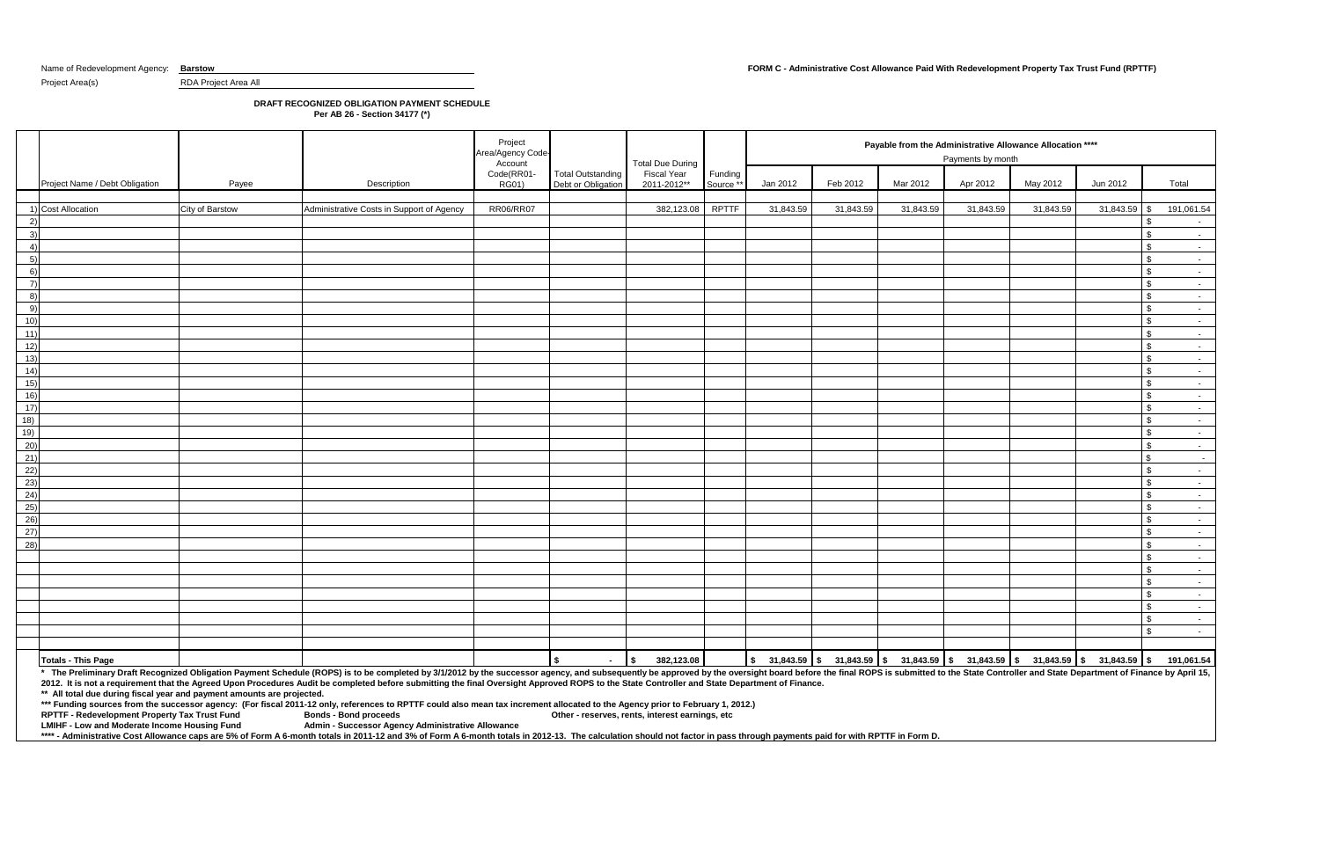## Name of Redevelopment Agency: **Barstow FORM C - Administrative Cost Allowance Paid With Redevelopment Property Tax Trust Fund (RPTTF)**

Project Area(s) RDA Project Area All

# **DRAFT RECOGNIZED OBLIGATION PAYMENT SCHEDULE**

**Per AB 26 - Section 34177 (\*)**

**\*\* All total due during fiscal year and payment amounts are projected.** 

**\*\*\* Funding sources from the successor agency: (For fiscal 2011-12 only, references to RPTTF could also mean tax increment allocated to the Agency prior to February 1, 2012.)**

**RPTTF - Redevelopment Property Tax Trust Fund LMIHF - Low and Moderate Income Housing Fund** 

|                   |                                |                 |                                                                                                                                                                                                                                | Project<br>Area/Agency Code    |                                                | <b>Total Due During</b>           |                      |           |           | Payable from the Administrative Allowance Allocation **** | Payments by month |           |                                                                                                                                          |                         |
|-------------------|--------------------------------|-----------------|--------------------------------------------------------------------------------------------------------------------------------------------------------------------------------------------------------------------------------|--------------------------------|------------------------------------------------|-----------------------------------|----------------------|-----------|-----------|-----------------------------------------------------------|-------------------|-----------|------------------------------------------------------------------------------------------------------------------------------------------|-------------------------|
|                   | Project Name / Debt Obligation | Payee           | Description                                                                                                                                                                                                                    | Account<br>Code(RR01-<br>RG01) | <b>Total Outstanding</b><br>Debt or Obligation | <b>Fiscal Year</b><br>2011-2012** | Funding<br>Source ** | Jan 2012  | Feb 2012  | Mar 2012                                                  | Apr 2012          | May 2012  | Jun 2012                                                                                                                                 | Total                   |
|                   | 1) Cost Allocation             | City of Barstow | Administrative Costs in Support of Agency                                                                                                                                                                                      | <b>RR06/RR07</b>               |                                                | 382,123.08                        | <b>RPTTF</b>         | 31,843.59 | 31,843.59 | 31,843.59                                                 | 31,843.59         | 31,843.59 | $31,843.59$ \$                                                                                                                           | 191,061.54              |
| 2)                |                                |                 |                                                                                                                                                                                                                                |                                |                                                |                                   |                      |           |           |                                                           |                   |           | - \$                                                                                                                                     |                         |
| 3)                |                                |                 |                                                                                                                                                                                                                                |                                |                                                |                                   |                      |           |           |                                                           |                   |           | \$                                                                                                                                       | $\sim 10^{-11}$         |
| 4)                |                                |                 |                                                                                                                                                                                                                                |                                |                                                |                                   |                      |           |           |                                                           |                   |           | $\mathfrak{S}$                                                                                                                           | $\sim$ $-$              |
| 5)                |                                |                 |                                                                                                                                                                                                                                |                                |                                                |                                   |                      |           |           |                                                           |                   |           | <b>S</b>                                                                                                                                 | $\sim 10^{-10}$         |
| 6)                |                                |                 |                                                                                                                                                                                                                                |                                |                                                |                                   |                      |           |           |                                                           |                   |           | $\sqrt[6]{3}$                                                                                                                            | $\sim$ $-$              |
| $\left( 7\right)$ |                                |                 |                                                                                                                                                                                                                                |                                |                                                |                                   |                      |           |           |                                                           |                   |           | $\sqrt{3}$                                                                                                                               | $\sim 10^{-11}$         |
| 8)                |                                |                 |                                                                                                                                                                                                                                |                                |                                                |                                   |                      |           |           |                                                           |                   |           | $\sqrt{3}$                                                                                                                               | $\sim$ $-$              |
| 9)                |                                |                 |                                                                                                                                                                                                                                |                                |                                                |                                   |                      |           |           |                                                           |                   |           | $\sqrt{3}$                                                                                                                               | $\sim 10^{-11}$         |
| 10)               |                                |                 |                                                                                                                                                                                                                                |                                |                                                |                                   |                      |           |           |                                                           |                   |           | l \$                                                                                                                                     | $\sim 10^{-11}$         |
| 11)               |                                |                 |                                                                                                                                                                                                                                |                                |                                                |                                   |                      |           |           |                                                           |                   |           | $\sqrt[6]{3}$                                                                                                                            | $\sim 10^{-11}$         |
| 12)               |                                |                 |                                                                                                                                                                                                                                |                                |                                                |                                   |                      |           |           |                                                           |                   |           | $\sqrt{3}$                                                                                                                               | $\sim 10^{-1}$          |
| 13)               |                                |                 |                                                                                                                                                                                                                                |                                |                                                |                                   |                      |           |           |                                                           |                   |           | $\sqrt{3}$                                                                                                                               | $\sim 10^{-11}$         |
| 14)               |                                |                 |                                                                                                                                                                                                                                |                                |                                                |                                   |                      |           |           |                                                           |                   |           | $\mathfrak{S}$                                                                                                                           | $\sim 10^{-11}$         |
| 15)               |                                |                 |                                                                                                                                                                                                                                |                                |                                                |                                   |                      |           |           |                                                           |                   |           | <b>S</b>                                                                                                                                 | $\sim$                  |
| 16)               |                                |                 |                                                                                                                                                                                                                                |                                |                                                |                                   |                      |           |           |                                                           |                   |           | $\sqrt{3}$                                                                                                                               | $\sim$ $-$              |
| 17)               |                                |                 |                                                                                                                                                                                                                                |                                |                                                |                                   |                      |           |           |                                                           |                   |           | $\sqrt[6]{3}$                                                                                                                            | $\sim 10^{-11}$         |
| 18)               |                                |                 |                                                                                                                                                                                                                                |                                |                                                |                                   |                      |           |           |                                                           |                   |           | $\sqrt{3}$                                                                                                                               | $\sim$ $-$              |
| 19)               |                                |                 |                                                                                                                                                                                                                                |                                |                                                |                                   |                      |           |           |                                                           |                   |           | $\sqrt{3}$                                                                                                                               | $\sim 100$              |
| (20)              |                                |                 |                                                                                                                                                                                                                                |                                |                                                |                                   |                      |           |           |                                                           |                   |           | $\sqrt{3}$                                                                                                                               | $\sim$ $-$              |
| 21)               |                                |                 |                                                                                                                                                                                                                                |                                |                                                |                                   |                      |           |           |                                                           |                   |           | $\sqrt{3}$                                                                                                                               | $\sim$                  |
| 22)               |                                |                 |                                                                                                                                                                                                                                |                                |                                                |                                   |                      |           |           |                                                           |                   |           | $\sqrt{3}$                                                                                                                               | $\sim 10^{-11}$         |
| (23)              |                                |                 |                                                                                                                                                                                                                                |                                |                                                |                                   |                      |           |           |                                                           |                   |           | <b>S</b>                                                                                                                                 | $\sim$ $-$              |
| 24)               |                                |                 |                                                                                                                                                                                                                                |                                |                                                |                                   |                      |           |           |                                                           |                   |           | \$                                                                                                                                       | $\sim 10^{-11}$         |
| 25)               |                                |                 |                                                                                                                                                                                                                                |                                |                                                |                                   |                      |           |           |                                                           |                   |           | $\mathbf{s}$                                                                                                                             | $\sim 100$              |
| (26)              |                                |                 |                                                                                                                                                                                                                                |                                |                                                |                                   |                      |           |           |                                                           |                   |           | $\sqrt{3}$                                                                                                                               | $\sim$ $-$              |
| 27)               |                                |                 |                                                                                                                                                                                                                                |                                |                                                |                                   |                      |           |           |                                                           |                   |           | $\sqrt[6]{3}$                                                                                                                            | $\sim 10^{-11}$         |
| 28)               |                                |                 |                                                                                                                                                                                                                                |                                |                                                |                                   |                      |           |           |                                                           |                   |           | l \$                                                                                                                                     | $\sim 10^{-1}$          |
|                   |                                |                 |                                                                                                                                                                                                                                |                                |                                                |                                   |                      |           |           |                                                           |                   |           | $\sqrt{3}$                                                                                                                               | $\sim$ $-$              |
|                   |                                |                 |                                                                                                                                                                                                                                |                                |                                                |                                   |                      |           |           |                                                           |                   |           | $\sqrt{3}$                                                                                                                               | $\sim 10^{-1}$          |
|                   |                                |                 |                                                                                                                                                                                                                                |                                |                                                |                                   |                      |           |           |                                                           |                   |           | $\sqrt[6]{3}$                                                                                                                            | $\sim 10^{-1}$          |
|                   |                                |                 |                                                                                                                                                                                                                                |                                |                                                |                                   |                      |           |           |                                                           |                   |           | $\sqrt[6]{3}$                                                                                                                            | $\sim 100$ km s $^{-1}$ |
|                   |                                |                 |                                                                                                                                                                                                                                |                                |                                                |                                   |                      |           |           |                                                           |                   |           | $\sqrt{3}$                                                                                                                               | $\sim$ $-$              |
|                   |                                |                 |                                                                                                                                                                                                                                |                                |                                                |                                   |                      |           |           |                                                           |                   |           | $\sqrt[6]{3}$                                                                                                                            | $\sim 100$              |
|                   |                                |                 |                                                                                                                                                                                                                                |                                |                                                |                                   |                      |           |           |                                                           |                   |           | <b>S</b>                                                                                                                                 | $\sim$ $-$              |
|                   |                                |                 |                                                                                                                                                                                                                                |                                |                                                |                                   |                      |           |           |                                                           |                   |           |                                                                                                                                          |                         |
|                   | <b>Totals - This Page</b>      |                 | * The Preliminary Draft Recognized Obligation Payment Schedule (ROPS) is to be completed by 3/1/2012 by the successor agency, and subsequently be approved by the oversight board before the final ROPS is submitted to the St |                                | I \$<br>$\sim$ 100 $\mu$                       | 382,123.08<br>$\mathbf{s}$        |                      |           |           |                                                           |                   |           | $\vert$ \$ 31,843.59 $\vert$ \$ 31,843.59 $\vert$ \$ 31,843.59 $\vert$ \$ 31,843.59 $\vert$ \$ 31,843.59 $\vert$ \$ 31,843.59 $\vert$ \$ | 191,061.54              |

**LMIHF - Low and Moderate Income Housing Fund Admin - Successor Agency Administrative Allowance**

\*\*\*\* - Administrative Cost Allowance caps are 5% of Form A 6-month totals in 2011-12 and 3% of Form A 6-month totals in 2012-13. The calculation should not factor in pass through payments paid for with RPTTF in Form D.

**2012. It is not a requirement that the Agreed Upon Procedures Audit be completed before submitting the final Oversight Approved ROPS to the State Controller and State Department of Finance.**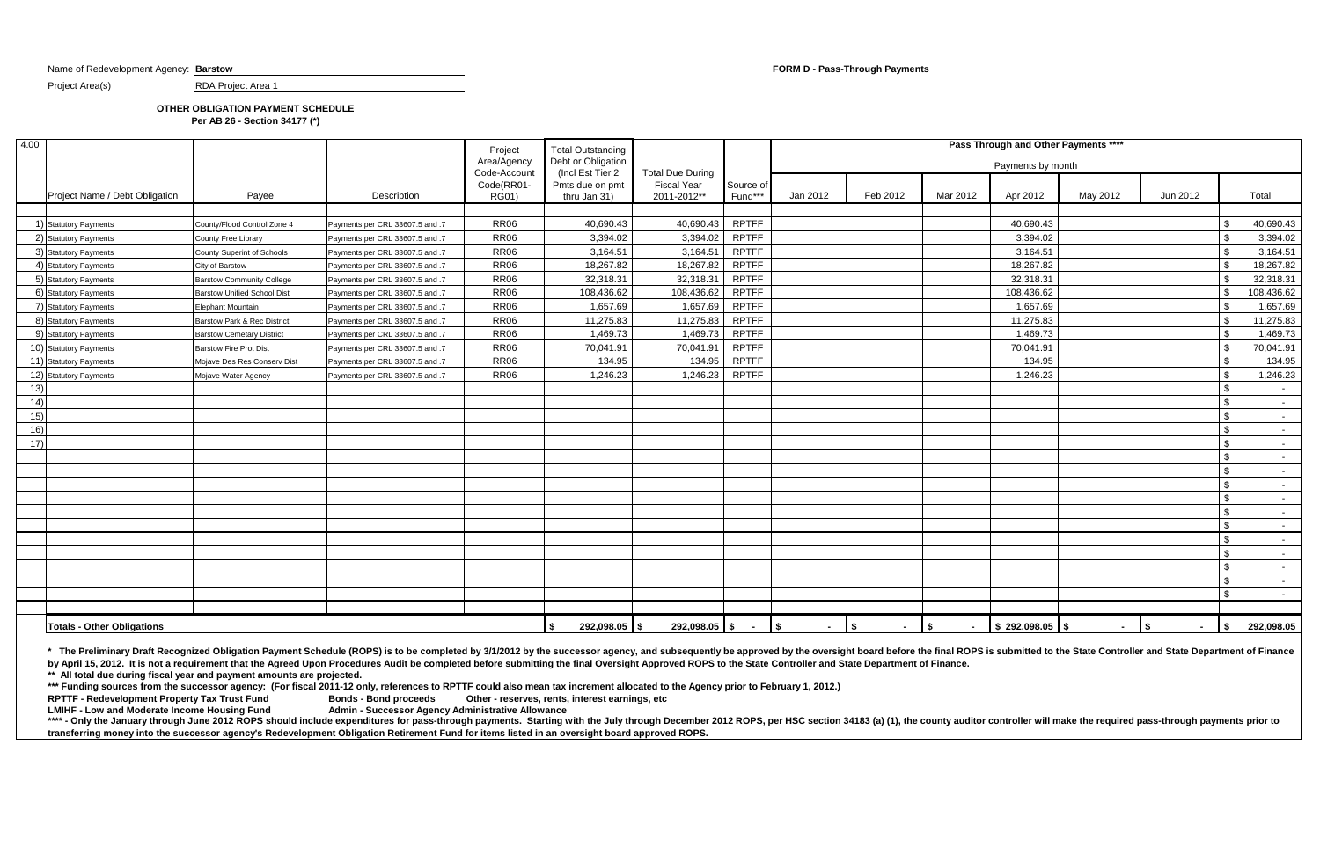Name of Redevelopment Agency: **Barstow FORM D - Pass-Through Payments** 

Project Area(s) RDA Project Area 1

## **OTHER OBLIGATION PAYMENT SCHEDULE Per AB 26 - Section 34177 (\*)**

\*\*\*\* - Only the January through June 2012 ROPS should include expenditures for pass-through payments. Starting with the July through December 2012 ROPS, per HSC section 34183 (a) (1), the county auditor controller will mak **transferring money into the successor agency's Redevelopment Obligation Retirement Fund for items listed in an oversight board approved ROPS.**

| 4.00                              | Project                            | <b>Total Outstanding</b>        |                            |                                     | Pass Through and Other Payments ****          |              |                |                              |               |                   |          |                              |                         |                 |
|-----------------------------------|------------------------------------|---------------------------------|----------------------------|-------------------------------------|-----------------------------------------------|--------------|----------------|------------------------------|---------------|-------------------|----------|------------------------------|-------------------------|-----------------|
|                                   |                                    |                                 | Area/Agency                | Debt or Obligation                  |                                               |              |                |                              |               | Payments by month |          |                              |                         |                 |
|                                   |                                    |                                 | Code-Account<br>Code(RR01- | (Incl Est Tier 2<br>Pmts due on pmt | <b>Total Due During</b><br><b>Fiscal Year</b> | Source of    |                |                              |               |                   |          |                              |                         |                 |
| Project Name / Debt Obligation    | Payee                              | Description                     | <b>RG01)</b>               | thru Jan 31)                        | 2011-2012**                                   | Fund***      | Jan 2012       | Feb 2012                     | Mar 2012      | Apr 2012          | May 2012 | Jun 2012                     |                         | Total           |
|                                   |                                    |                                 |                            |                                     |                                               |              |                |                              |               |                   |          |                              |                         |                 |
| 1) Statutory Payments             | County/Flood Control Zone 4        | Payments per CRL 33607.5 and .7 | <b>RR06</b>                | 40,690.43                           | 40,690.43                                     | <b>RPTFF</b> |                |                              |               | 40,690.43         |          |                              | \$                      | 40,690.43       |
| 2) Statutory Payments             | County Free Library                | Payments per CRL 33607.5 and .7 | <b>RR06</b>                | 3,394.02                            | 3,394.02                                      | <b>RPTFF</b> |                |                              |               | 3,394.02          |          |                              | \$                      | 3,394.02        |
| 3) Statutory Payments             | County Superint of Schools         | Payments per CRL 33607.5 and .7 | <b>RR06</b>                | 3,164.51                            | 3,164.51                                      | <b>RPTFF</b> |                |                              |               | 3,164.51          |          |                              | \$                      | 3,164.51        |
| 4) Statutory Payments             | City of Barstow                    | Payments per CRL 33607.5 and .7 | <b>RR06</b>                | 18,267.82                           | 18,267.82                                     | <b>RPTFF</b> |                |                              |               | 18,267.82         |          |                              | $\mathfrak{S}$          | 18,267.82       |
| 5) Statutory Payments             | <b>Barstow Community College</b>   | Payments per CRL 33607.5 and .7 | <b>RR06</b>                | 32,318.31                           | 32,318.31                                     | <b>RPTFF</b> |                |                              |               | 32,318.31         |          |                              | \$                      | 32,318.31       |
| 6) Statutory Payments             | <b>Barstow Unified School Dist</b> | Payments per CRL 33607.5 and .7 | <b>RR06</b>                | 108,436.62                          | 108,436.62                                    | <b>RPTFF</b> |                |                              |               | 108,436.62        |          |                              | \$                      | 108,436.62      |
| 7) Statutory Payments             | Elephant Mountain                  | Payments per CRL 33607.5 and .7 | <b>RR06</b>                | 1,657.69                            | 1,657.69                                      | <b>RPTFF</b> |                |                              |               | 1,657.69          |          |                              | $\mathbb{S}$            | 1,657.69        |
| 8) Statutory Payments             | Barstow Park & Rec District        | Payments per CRL 33607.5 and .7 | <b>RR06</b>                | 11,275.83                           | 11,275.83                                     | <b>RPTFF</b> |                |                              |               | 11,275.83         |          |                              | \$                      | 11,275.83       |
| 9) Statutory Payments             | <b>Barstow Cemetary District</b>   | Payments per CRL 33607.5 and .7 | <b>RR06</b>                | 1,469.73                            | 1,469.73                                      | <b>RPTFF</b> |                |                              |               | 1,469.73          |          |                              | $\mathfrak{S}$          | 1,469.73        |
| 10) Statutory Payments            | <b>Barstow Fire Prot Dist</b>      | Payments per CRL 33607.5 and .7 | <b>RR06</b>                | 70,041.91                           | 70,041.91                                     | <b>RPTFF</b> |                |                              |               | 70,041.91         |          |                              | \$                      | 70,041.91       |
| 11) Statutory Payments            | Mojave Des Res Conserv Dist        | Payments per CRL 33607.5 and .7 | <b>RR06</b>                | 134.95                              | 134.95                                        | <b>RPTFF</b> |                |                              |               | 134.95            |          |                              | $\mathfrak{S}$          | 134.95          |
| 12) Statutory Payments            | Mojave Water Agency                | Payments per CRL 33607.5 and .7 | <b>RR06</b>                | 1,246.23                            | 1,246.23                                      | <b>RPTFF</b> |                |                              |               | 1,246.23          |          |                              | $\sqrt[6]{\frac{1}{2}}$ | 1,246.23        |
| 13)                               |                                    |                                 |                            |                                     |                                               |              |                |                              |               |                   |          |                              | $\mathfrak{S}$          | $\sim$          |
| (14)                              |                                    |                                 |                            |                                     |                                               |              |                |                              |               |                   |          |                              | $\mathbb{S}$            | $\sim$          |
| 15)                               |                                    |                                 |                            |                                     |                                               |              |                |                              |               |                   |          |                              | $\sqrt[6]{2}$           | $\sim$ $-$      |
| 16)                               |                                    |                                 |                            |                                     |                                               |              |                |                              |               |                   |          |                              | $\sqrt[6]{\frac{1}{2}}$ | $\sim$          |
| 17)                               |                                    |                                 |                            |                                     |                                               |              |                |                              |               |                   |          |                              | $\sqrt[6]{\frac{1}{2}}$ | $\sim$ $-$      |
|                                   |                                    |                                 |                            |                                     |                                               |              |                |                              |               |                   |          |                              | $\mathbb{S}$            | $\sim$ $-$      |
|                                   |                                    |                                 |                            |                                     |                                               |              |                |                              |               |                   |          |                              | $\mathbb{S}$            | $\sim 100$      |
|                                   |                                    |                                 |                            |                                     |                                               |              |                |                              |               |                   |          |                              | \$                      | $\sim$ 10 $\pm$ |
|                                   |                                    |                                 |                            |                                     |                                               |              |                |                              |               |                   |          |                              | $\mathbb{S}$            |                 |
|                                   |                                    |                                 |                            |                                     |                                               |              |                |                              |               |                   |          |                              | $\mathbb S$             | $\sim 100$      |
|                                   |                                    |                                 |                            |                                     |                                               |              |                |                              |               |                   |          |                              | $\mathbb{S}$            | $\sim$          |
|                                   |                                    |                                 |                            |                                     |                                               |              |                |                              |               |                   |          |                              | $\mathbb{S}$            | $\sim$          |
|                                   |                                    |                                 |                            |                                     |                                               |              |                |                              |               |                   |          |                              | $\sqrt[6]{\frac{1}{2}}$ | $\sim$          |
|                                   |                                    |                                 |                            |                                     |                                               |              |                |                              |               |                   |          |                              | $\mathbb{S}$            |                 |
|                                   |                                    |                                 |                            |                                     |                                               |              |                |                              |               |                   |          |                              | $\sqrt[6]{\frac{1}{2}}$ | $\sim$          |
|                                   |                                    |                                 |                            |                                     |                                               |              |                |                              |               |                   |          |                              | $\mathbb{S}$            | $\sim$ $-$      |
|                                   |                                    |                                 |                            |                                     |                                               |              |                |                              |               |                   |          |                              |                         |                 |
| <b>Totals - Other Obligations</b> |                                    |                                 |                            | 292,098.05 \$<br>S.                 | $292,098.05$ \$                               |              | l \$<br>$\sim$ | $\overline{1}$<br>$\sim 100$ | IS.<br>$\sim$ | $$292,098.05$ \\$ | $\sim$   | $\overline{1}$<br>$\sim 100$ | $\sqrt{2}$              | 292,098.05      |

**\*\*\* Funding sources from the successor agency: (For fiscal 2011-12 only, references to RPTTF could also mean tax increment allocated to the Agency prior to February 1, 2012.)**

**RPTTF - Redevelopment Property Tax Trust Fund LMIHF - Low and Moderate Income Housing Fund Admin - Successor Agency Administrative Allowance** 

**\*\* All total due during fiscal year and payment amounts are projected.**  \* The Preliminary Draft Recognized Obligation Payment Schedule (ROPS) is to be completed by 3/1/2012 by the successor agency, and subsequently be approved by the oversight board before the final ROPS is submitted to the St **by April 15, 2012. It is not a requirement that the Agreed Upon Procedures Audit be completed before submitting the final Oversight Approved ROPS to the State Controller and State Department of Finance.**